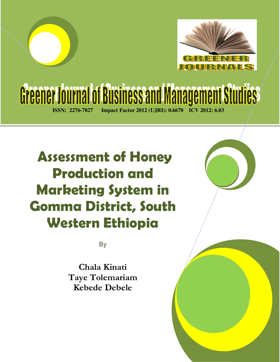

# Gréener Journal of Business and Management Studies **ISSN: 2276-7827 Impact Factor 2012 (UJRI): 0.6670 ICV 2012: 6.03**

 **Assessment of Honey Production and Marketing System in Gomma District, South Western Ethiopia**

By

**Chala Kinati Taye Tolemariam Kebede Debele**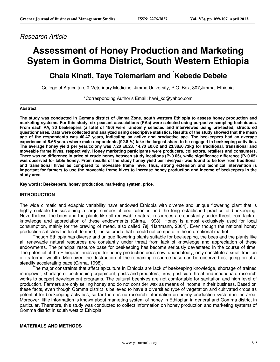#### Research Article

## **Assessment of Honey Production and Marketing System in Gomma District, South Western Ethiopia**

### **Chala Kinati, Taye Tolemariam and \*Kebede Debele**

College of Agriculture & Veterinary Medicine, Jimma University, P.O. Box, 307,Jimma, Ethiopia.

\*Corresponding Author's Email: hawi\_kd@yahoo.com

#### **Abstract**

**The study was conducted in Gomma district of Jimma Zone, south western Ethiopia to assess honey production and marketing systems. For this study, six peasant associations (PAs) were selected using purposive sampling techniques. From each PA, 30 beekeepers (a total of 180) were randomly selected and interviewed using pre-tested, structured questionnaires. Data were collected and analyzed using descriptive statistics. Results of the study showed that the mean age of the respondents was 40.47 years, indicating an active and productive age. The beekeepers had an average experience of 5.66 years where male respondents (92.8 %) take the largest share to be engaged in beekeeping activities. The average honey yield per year/colony was 7.20 ±0.23, 14.70 ±0.62 and 23.38±0.73kg for traditional, transitional and moveable frame hives, respectively. Honey marketing participants were producers, collectors, retailers and consumers. There was no difference in price of crude honey between study locations (P>0.05), while significance difference (P<0.05) was observed for table honey. From results of the study honey yield per hive/year was found to be low from traditional and transitional hives as compared to moveable frame hive. Thus, strong extension and technical intervention is important for farmers to use the moveable frame hives to increase honey production and income of beekeepers in the study area.** 

**Key words: Beekeepers, honey production, marketing system, price.** 

#### **INTRODUCTION**

The wide climatic and edaphic variability have endowed Ethiopia with diverse and unique flowering plant that is highly suitable for sustaining a large number of bee colonies and the long established practice of beekeeping. Nevertheless, the bees and the plants like all renewable natural resources are constantly under threat from lack of knowledge and appreciation of these endowments (Girma, 1998). Honey is almost exclusively used for local consumption, mainly for the brewing of mead, also called Tej (Hartmann, 2004). Even though the national honey production satisfies the local demand, it is so crude that it could not compete in the international market.

Though Ethiopia has diverse and unique flowering plants suitable for beekeeping, the bees and the plants like all renewable natural resources are constantly under threat from lack of knowledge and appreciation of these endowments. The principal resource base for beekeeping has become seriously devastated in the course of time. The potential of the Ethiopian landscape for honey production does now, undoubtedly, only constitute a small fraction of its former wealth. Moreover, the destruction of the remaining resource-base can be observed as, going on at a steadily accelerating pace (Girma, 1998).

The major constraints that affect apiculture in Ethiopia are lack of beekeeping knowledge, shortage of trained manpower, shortage of beekeeping equipment, pests and predators, fires, pesticide threat and inadequate research works to support development programs. The cultural beehives are not comfortable for sanitation and high level of production. Farmers are only selling honey and do not consider wax as means of income in their business. Based on these facts, even though Gomma district is believed to have a diversified type of vegetation and cultivated crops as potential for beekeeping activities, so far there is no research information on honey production system in the area. Moreover, little information is known about marketing system of honey in Ethiopian in general and Gomma district in particular. Therefore, this study was conducted to collect information on honey production and marketing systems of Gomma district in south west of Ethiopia.

#### **MATERIALS AND METHODS**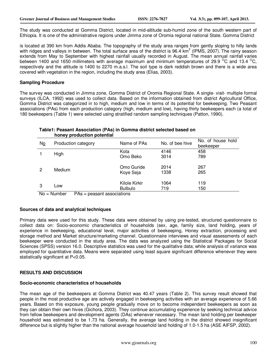The study was conducted at Gomma District, located in mid-altitude sub-humid zone of the south western part of Ethiopia. It is one of the administrative regions under Jimma zone of Oromia regional national State. Gomma District

is located at 390 km from Addis Ababa. The topography of the study area ranges from gently sloping to hilly lands with ridges and valleys in between. The total surface area of the district is 96.4 km<sup>2</sup> (IPMS, 2007). The rainy season extends from May to September with highest rainfall usually recorded in August. The mean annual rainfall varies between 1400 and 1650 millimeters with average maximum and minimum temperatures of 29.9  $\mathrm{^{\circ}C}$  and 13.4  $\mathrm{^{\circ}C}$ . respectively and the altitude is 1400 to 2270 m.a.s.l. The soil type is dark reddish brown and there is a wide area covered with vegetation in the region, including the study area (Elias, 2003).

#### **Sampling Procedure**

The survey was conducted in Jimma zone, Gomma District of Oromia Regional State. A single- visit- multiple formal surveys (ILCA, 1992) was used to collect data. Based on the information obtained from district Agricultural Office, Gomma District was categorized in to high, medium and low in terms of its potential for beekeeping. Two Peasant associations (PAs) from each production category (high, medium and low), having thirty beekeepers each (a total of 180 beekeepers (Table 1) were selected using stratified random sampling techniques (Patton, 1990).

#### **Table1: Peasant Association (PAs) in Gomma district selected based on honey production potential**

| No                 | Production category | Name of PAs                            | No. of bee hive | No. of house hold<br>beekeeper |
|--------------------|---------------------|----------------------------------------|-----------------|--------------------------------|
|                    | High                | Kota<br>Omo Beko                       | 4146<br>3014    | 458<br>789                     |
| 2                  | Medium              | Omo Guride<br>Koye Seja                | 2014<br>1338    | 267<br>265                     |
| 3<br>$\sim$ $\sim$ | Low<br>- -<br>.     | Kilole Kirkir<br><b>Bulbulo</b><br>. . | 1064<br>719     | 119<br>150                     |

 $No = Number$   $PAs = pleasant associations$ 

#### **Sources of data and analytical techniques**

Primary data were used for this study. These data were obtained by using pre-tested, structured questionnaire to collect data on: Socio-economic characteristics of households (sex, age, family size, land holding, years of experience in beekeeping, educational level, major activities of beekeeping, Honey extraction, processing and storage method and Market structure/marketing channel. Questionnaire interviews and visual assessments of each beekeeper were conducted in the study area. The data was analyzed using the Statistical Packages for Social Sciences (SPSS) version 16.0. Descriptive statistics was used for the qualitative data; while analysis of variance was employed for quantitative data. Means were separated using least square significant difference whenever they were statistically significant at P<0.05.

#### **RESULTS AND DISCUSSION**

#### **Socio-economic characteristics of households**

The mean age of the beekeepers at Gomma District was 40.47 years (Table 2). This survey result showed that people in the most productive age are actively engaged in beekeeping activities with an average experience of 5.66 years. Based on this exposure, young people gradually move on to become independent beekeepers as soon as they can obtain their own hives (Gichora, 2003). They continue accumulating experience by seeking technical advice from fellow beekeepers and development agents (DAs) whenever necessary. The mean land holding per beekeeper household was estimated to be 1.73 ha. Generally, the average land holding in the district showed insignificant difference but is slightly higher than the national average household land holding of 1.0-1.5 ha (ASE AIFSP, 2002).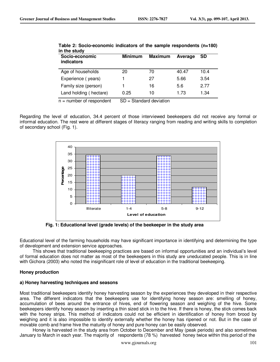| Socio-economic<br>indicators | <b>Minimum</b> | <b>Maximum</b> | Average | <b>SD</b> |
|------------------------------|----------------|----------------|---------|-----------|
| Age of households            | 20             | 70             | 40.47   | 10.4      |
| Experience (years)           |                | 27             | 5.66    | 3.54      |
| Family size (person)         |                | 16             | 5.6     | 2.77      |
| Land holding (hectare)       | 0.25           | 10             | 1.73    | 1.34      |

**Table 2: Socio-economic indicators of the sample respondents (n=180) in the study** 

 $n =$  number of respondent  $SD =$  Standard deviation

Regarding the level of education, 34.4 percent of those interviewed beekeepers did not receive any formal or informal education. The rest were at different stages of literacy ranging from reading and writing skills to completion of secondary school (Fig. 1).



**Fig. 1: Educational level (grade levels) of the beekeeper in the study area** 

Educational level of the farming households may have significant importance in identifying and determining the type of development and extension service approaches.

This shows that traditional beekeeping practices are based on informal opportunities and an individual's level of formal education does not matter as most of the beekeepers in this study are uneducated people. This is in line with Gichora (2003) who noted the insignificant role of level of education in the traditional beekeeping.

#### **Honey production**

#### **a) Honey harvesting techniques and seasons**

Most traditional beekeepers identify honey harvesting season by the experiences they developed in their respective area. The different indicators that the beekeepers use for identifying honey season are: smelling of honey, accumulation of bees around the entrance of hives, end of flowering season and weighing of the hive. Some beekeepers identify honey season by inserting a thin sized stick in to the hive. If there is honey, the stick comes back with the honey strips. This method of indicators could not be efficient in identification of honey from brood by weighing and it is also impossible to identify externally whether the honey has ripened or not. But in the case of movable comb and frame hive the maturity of honey and pure honey can be easily observed.

Honey is harvested in the study area from October to December and May (peak periods) and also sometimes January to March in each year. The majority of respondents (78 %) harvested honey twice within this period of the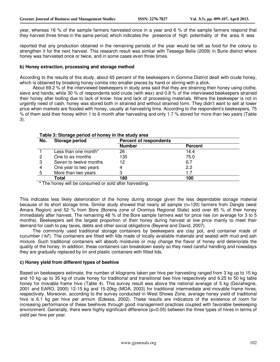year, whereas 16 % of the sample farmers harvested once in a year and 6 % of the sample farmers respond that they harvest three times in the same period, which indicates the presence of high potentiality of the area. It was

reported that any production obtained in the remaining periods of the year would be left as food for the colony to strengthen it for the next harvest. This research result was similar with Tessega Belie (2009) in Burie district where honey was harvested once or twice, and in some cases even three times.

#### **b) Honey extraction, processing and storage method**

According to the results of this study, about 65 percent of the beekeepers in Gomma District dealt with crude honey, which is obtained by breaking honey combs into smaller pieces by hand or stirring with a stick.

About 69.2 % of the interviewed beekeepers in study area said that they are straining their honey using clothe, sieve and hands; while 30 % of respondents sold crude (with wax) and 0.8 % of the interviewed beekeepers strained their honey after boiling due to lack of know- how and lack of processing materials. Where the beekeeper is not in urgently need of cash, honey was stored both in strained and without strained form. They didn't want to sell at lower price when markets are flooded with honey, usually at harvesting time. According to the respondent's beekeepers, 75 % of them sold their honey within 1 to 6 month after harvesting and only 1.7 % stored for more than two years (Table 3).

| No. | Storage period         | <b>Percent of respondents</b> |                |
|-----|------------------------|-------------------------------|----------------|
|     |                        | <b>Number</b>                 | <b>Percent</b> |
|     | Less than one month*   | 26                            | 14.4           |
| 2   | One to six months      | 135                           | 75.0           |
| 3   | Seven to twelve months | 12                            | 6.7            |
| 4   | One year to two years  |                               | 2.2            |
| 5   | More than two years    | ິ                             | 1.7            |
|     | Total                  | 180                           | 100            |

#### **Table 3: Storage period of honey in the study area**

**\*** The honey will be consumed or sold after harvesting.

This indicates less likely deterioration of the honey during storage given the less dependable storage material because of its short storage time. Similar study showed that nearly all sample (n=120) farmers from Dangla (west Amara Region) and 52 % from Bore (Borena zone of Oromiya Regional State) sold over 85 % of their honey immediately after harvest. The remaining 48 % of the Bore sample farmers wait for price rise (on average for 3 to 5 months). Beekeepers sell the largest proportion of their honey during harvest at low price mainly to meet their demand for cash to pay taxes, debts and other social obligations (Beyene and David, 2007).

The commonly used traditional storage containers by beekeepers are clay pot, and container made of cucumber ('kil'). The containers are fitted with lids made of locally available materials and sealed with mud and ash mixture. Such traditional containers will absorb moistures or may change the flavor of honey and deteriorate the quality of the honey. In addition, these containers can breakdown easily so they need careful handling and nowadays they are gradually replaced by tin and plastic containers with fitted lids.

#### **c) Honey yield from different types of beehive**

Based on beekeepers estimate, the number of kilograms taken per hive per harvesting ranged from 3 kg up to 15 kg and 10 kg up to 35 kg of crude honey for traditional and transitional bee hive respectively and 6.25 to 50 kg table honey for movable frame hive (Table 4). This survey result was above the national average of 5 kg (Gezahegne, 2001 and EARO, 2000) 12-15 kg and 15-20kg (MOA, 2003) for traditional intermediate and movable frame hives, respectively. Moreover, according to the survey conducted in West Showa Zone, average honey yield of traditional hive is 6.1 kg per hive per annum (Edessa, 2002). These results are indicators of the existence of room for increasing performance of these beehives through good management practices coupled with favorable beekeeping environment. Generally, there were highly significant difference (p<0.05) between the three types of hives in terms of yield per hive per year.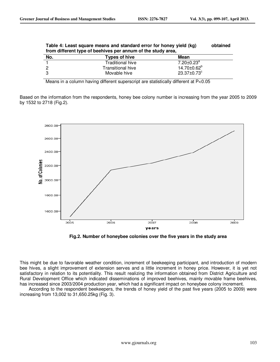**Table 4: Least square means and standard error for honey yield (kg) obtained** 

| Table 4. Least square means and standard error for noney vield (Kg)<br>oplanieu<br>from different type of beehives per annum of the study area, |                          |                              |  |
|-------------------------------------------------------------------------------------------------------------------------------------------------|--------------------------|------------------------------|--|
| No.                                                                                                                                             | Types of hive            | Mean                         |  |
|                                                                                                                                                 | <b>Traditional hive</b>  | $7.20 \pm 0.23$ <sup>a</sup> |  |
|                                                                                                                                                 | <b>Transitional hive</b> | $14.70 \pm 0.62^b$           |  |
| -3                                                                                                                                              | Movable hive             | 23.37±0.73°                  |  |

Means in a column having different superscript are statistically different at P<0.05

Based on the information from the respondents, honey bee colony number is increasing from the year 2005 to 2009 by 1532 to 2718 (Fig.2).



**Fig.2. Number of honeybee colonies over the five years in the study area** 

This might be due to favorable weather condition, increment of beekeeping participant, and introduction of modern bee hives, a slight improvement of extension serves and a little increment in honey price. However, it is yet not satisfactory in relation to its potentiality. This result realizing the information obtained from District Agriculture and Rural Development Office which indicated disseminations of improved beehives, mainly movable frame beehives, has increased since 2003/2004 production year, which had a significant impact on honeybee colony increment.

 According to the respondent beekeepers, the trends of honey yield of the past five years (2005 to 2009) were increasing from 13,002 to 31,650.25kg (Fig. 3).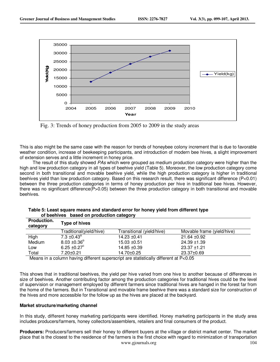

Fig. 3: Trends of honey production from 2005 to 2009 in the study areas

This is also might be the same case with the reason for trends of honeybee colony increment that is due to favorable weather condition, increase of beekeeping participants, and introduction of modern bee hives, a slight improvement of extension serves and a little increment in honey price.

The result of this study showed PAs which were grouped as medium production category were higher than the high and low production category in all types of beehive yield (Table 5). Moreover, the low production category come second in both transitional and movable beehive yield, while the high production category is higher in traditional beehives yield than low production category. Based on this research result, there was significant difference (P<0.01) between the three production categories in terms of honey production per hive in traditional bee hives. However, there was no significant difference(P>0.05) between the three production category in both transitional and movable beehives.

| <b>Type of hives</b>        |                           |                            |
|-----------------------------|---------------------------|----------------------------|
| Traditional(yield/hive)     | Transitional (yield/hive) | Movable frame (yield/hive) |
| 7.3 $\pm$ 0.43 <sup>a</sup> | 14.23 ±0.41               | $21.64 \pm 0.92$           |
| $8.03 \pm 0.36^{\circ}$     | $15.03 \pm 0.51$          | $24.39 + 1.39$             |
| 6.25 $\pm 0.27$ °           | 14.85 ±0.39               | $23.37 \pm 1.21$           |
| 7.20±0.21                   | 14.70±0.25                | 23.37±0.69                 |
|                             |                           |                            |

**Table 5: Least square means and standard error for honey yield from different type of beehives based on production category**

Means in a column having different superscript are statistically different at P<0.05

This shows that in traditional beehives, the yield per hive varied from one hive to another because of differences in size of beehives. Another contributing factor among the production categories for traditional hives could be the level of supervision or management employed by different farmers since traditional hives are hanged in the forest far from the home of the farmers. But in Transitional and movable frame beehive there was a standard size for construction of the hives and more accessible for the follow up as the hives are placed at the backyard.

#### **Market structure/marketing channel**

In this study, different honey marketing participants were identified. Honey marketing participants in the study area includes producers/farmers, honey collectors/assemblers, retailers and final consumers of the product.

www.gjournals.org 104 **Producers:** Producers/farmers sell their honey to different buyers at the village or district market center. The market place that is the closest to the residence of the farmers is the first choice with regard to minimization of transportation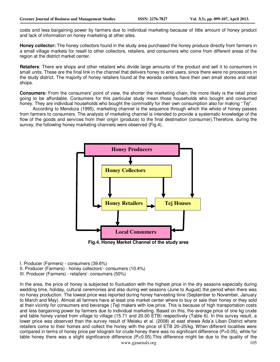costs and less bargaining power by farmers due to individual marketing because of little amount of honey product and lack of information on honey marketing at other sites.

**Honey collector:** The honey collectors found in the study area purchased the honey produce directly from farmers in a small village markets for resell to other collectors, retailers, and consumers who come from different areas of the region at the district market center.

**Retailers**: There are shops and other retailers who divide large amounts of the product and sell it to consumers in small units. These are the final link in the channel that delivers honey to end users, since there were no processors in the study district. The majority of honey retailers found at the woreda centers have their own small stores and retail shops.

**Consumers:** From the consumers' point of view, the shorter the marketing chain, the more likely is the retail price going to be affordable. Consumers for this particular study mean those households who bought and consumed honey. They are individual households who bought the commodity for their own consumption also for making " $Tej$ ".

According to Mendoza (1995), marketing channel is the sequence through which the whole of honey passes from farmers to consumers. The analysis of marketing channel is intended to provide a systematic knowledge of the flow of the goods and services from their origin (produce) to the final destination (consumer).Therefore, during the survey, the following honey marketing channels were observed (Fig.4).



I. Producer (Farmers) - consumers (39.6%)

II. Producer (Farmers) - honey collectors'- consumers (10.4%)

III. Producer (Farmers) - retailers'- consumers (50%)

www.giournals.org 105 In the area, the price of honey is subjected to fluctuation with the highest price in the dry seasons especially during wedding time, holiday, cultural ceremonies and also during wet seasons (June to August) the period when there was no honey production. The lowest price was reported during honey harvesting time (September to November, January to March and May). Almost all farmers have at least one market center where to buy or sale their honey or they sold at their vicinity for consumers and beverage ( $Te$ ) makers with low price. This is because of high transportation costs and less bargaining power by farmers due to individual marketing. Based on this, the average price of one kg crude and table honey varied from village to village (15.71 and 20.00 ETB) respectively (Table 6). In this survey result, a lower price was observed than the survey result of Melaku et al. (2008) at east shewa Ada'a Liban District where retailers come to their homes and collect the honey with the price of ETB 20–25/kg. When different localities were compared in terms of honey price per kilogram for crude honey there was no significant difference (P>0.05), while for table honey there was a slight significance difference (P<0.05).This difference might be due to the quality of the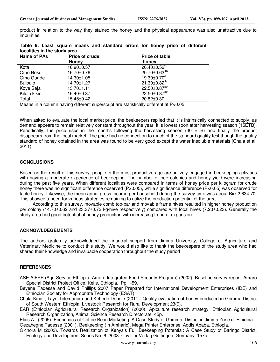product in relation to the way they stained the honey and the physical appearance was also unattractive due to impurities.

| Name of PAs    | Price of crude | <b>Price of table</b>          |  |
|----------------|----------------|--------------------------------|--|
|                | Honey          | honey                          |  |
| Kota           | 16.90±0.57     | $20.40 \pm 0.52$ <sup>pc</sup> |  |
| Omo Beko       | 16.70±0.76     | $20.70 \pm 0.63$ <sup>bc</sup> |  |
| Omo Guride     | 14.30±1.05     | $19.30 \pm 0.70$ <sup>c</sup>  |  |
| <b>Bulbulo</b> | 14.70±1.27     | 21.30 $\pm$ 0.82 $^{bc}$       |  |
| Koye Seja      | 13.70±1.11     | 22.50±0.87 <sup>ab</sup>       |  |
| Kilole kikir   | 16.40±0.37     | 22.50±0.87 <sup>ab</sup>       |  |
| Total          | 15.45±0.42     | 20.82±0.30                     |  |

**Table 6: Least square means and standard errors for honey price of different localities in the study area** 

Means in a column having different superscript are statistically different at P<0.05

When asked to evaluate the local market price, the beekeepers replied that it is intrinsically connected to supply, as demand appears to remain relatively constant throughout the year. It is lowest soon after harvesting season (15ETB). Periodically, the price rises in the months following the harvesting season (30 ETB) and finally the product disappears from the local market. The price had no connection to much of the standard quality test though the quality standard of honey obtained in the area was found to be very good except the water insoluble materials (Chala et al. 2011).

#### **CONCLUSIONS**

Based on the result of this survey, people in the most productive age are actively engaged in beekeeping activities with having a moderate experience of beekeeping. The number of bee colonies and honey yield were increasing during the past five years. When different localities were compared in terms of honey price per kilogram for crude honey there was no significant difference observed (P>0.05), while significance difference (P<0.05) was observed for table honey. Likewise, the mean annul gross income per household during the survey time was about Birr 2,634.70. This showed a need for various strategies remaining to utilize the production potential of the area.

According to this survey, movable comb top-bar and movable frame hives resulted in higher honey production per colony (14.70±0.62 and 23.37±0.73 kg/hive respectively) compared with local hives (7.20±0.23). Generally the study area had good potential of honey production with increasing trend of expansion.

#### **ACKNOWLDEGEMENTS**

The authors gratefully acknowledged the financial support from Jimma University, College of Agriculture and Veterinary Medicine to conduct this study. We would also like to thank the beekeepers of the study area who had shared their knowledge and invaluable cooperation throughout the study period

#### **REFERENCES**

- ASE AIFSP (Agri Service Ethiopia, Amaro Integrated Food Security Program) (2002). Baseline survey report. Amaro Special District Project Office, Kelle, Ethiopia. Pp.1-59.
- Beyene Tadesse and David Phillips 2007 Paper Prepared for International Development Enterprises (IDE) and Ethiopian Society for Appropriate Technology (ESAT).
- Chala Kinati, Taye Tolemariam and Kebede Debele (2011). Quality evaluation of honey produced in Gomma District of South Western Ethiopia. Livestock Research for Rural Development 23(9).
- EAR (Ethiopian Agricultural Research Organization) (2000). Apiculture research strategy, Ethiopian Agricultural Research Organization, Animal Science Research Directorate, 45p.

Elias A., (2005). Economics of Coffee Bean Marketing: A Case Study of Gomma District in Jimma Zone of Ethiopia. Gezahegne Tadesse (2001). Beekeeping (In Amharic), Mega Printer Enterprise, Addis Ababa, Ethiopia.

Gichora M (2003). Towards Realization of Kenya's Full Beekeeping Potential: A Case Study of Baringo District. Ecology and Development Series No. 6, 2003. Cuvillier Verlag Gottingen, Germany. 157p.